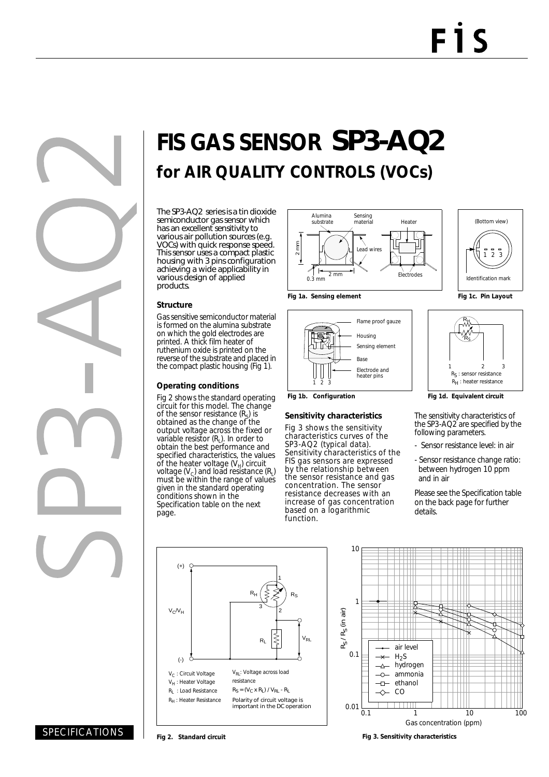

# **FIS GAS SENSOR** SP3-AQ2 **for AIR QUALITY CONTROLS (VOCs)**

The SP3-AQ2 series is a tin dioxide semiconductor gas sensor which has an excellent sensitivity to various air pollution sources (e.g. VOCs) with quick response speed. This sensor uses a compact plastic housing with 3 pins configuration achieving a wide applicability in various design of applied products.

#### **Structure**

Gas sensitive semiconductor material is formed on the alumina substrate on which the gold electrodes are printed. A thick film heater of ruthenium oxide is printed on the reverse of the substrate and placed in the compact plastic housing (Fig 1).

#### **Operating conditions**

Fig 2 shows the standard operating circuit for this model. The change of the sensor resistance  $(R<sub>s</sub>)$  is obtained as the change of the output voltage across the fixed or variable resistor (R<sub>L</sub>). In order to obtain the best performance and specified characteristics, the values of the heater voltage  $(V_H)$  circuit voltage  $(V_c)$  and load resistance  $(R<sub>i</sub>)$ must be within the range of values given in the standard operating conditions shown in the Specification table on the next page.









#### **Sensitivity characteristics**

Fig 3 shows the sensitivity characteristics curves of the SP3-AQ2 (typical data). Sensitivity characteristics of the FIS gas sensors are expressed by the relationship between the sensor resistance and gas concentration. The sensor resistance decreases with an increase of gas concentration based on a logarithmic function.





The sensitivity characteristics of the SP3-AQ2 are specified by the following parameters.

- Sensor resistance level: in air
- Sensor resistance change ratio: between hydrogen 10 ppm and in air

Please see the Specification table on the back page for further details.





**Fig 2. Standard circuit Fig 3. Sensitivity characteristics**